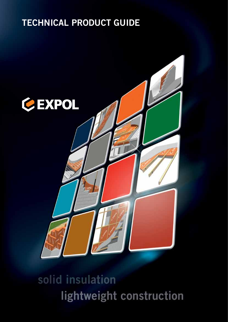# **TECHNICAL PRODUCT GUIDE**



# solid insulation lightweight construction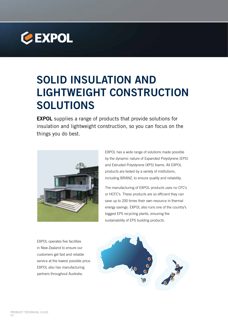

# **SOLID INSULATION AND LIGHTWEIGHT CONSTRUCTION SOLUTIONS**

**EXPOL** supplies a range of products that provide solutions for insulation and lightweight construction, so you can focus on the things you do best.



EXPOL has a wide range of solutions made possible by the dynamic nature of Expanded Polystyrene (EPS) and Extruded Polystyrene (XPS) foams. All EXPOL products are tested by a variety of institutions, including BRANZ, to ensure quality and reliability.

The manufacturing of EXPOL products uses no CFC's or HCFC's. These products are so efficient they can save up to 200 times their own resource in thermal energy savings. EXPOL also runs one of the country's biggest EPS recycling plants, ensuring the sustainability of EPS building products.

EXPOL operates five facilities in New Zealand to ensure our customers get fast and reliable service at the lowest possible price. EXPOL also has manufacturing partners throughout Australia.

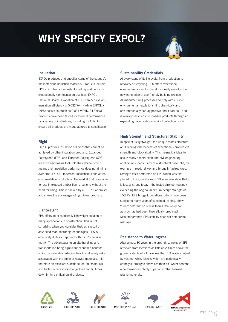# **WHY SPECIFY EXPOL?**



#### **Insulation**

EXPOL produces and supplies some of the country's most efficient insulation materials. Products include EPS which has a long established reputation for its exceptionally high insulation qualities. EXPOL Platinum Board (a variation of EPS) can achieve an insulation efficiency of 0.032 W/mK while EXPOL-X (XPS) boasts as much as 0.031 W/mK. All EXPOL products have been tested for thermal performance by a variety of institutions, including BRANZ, to ensure all products are manufactured to specification.

#### **Rigid**

EXPOL provides insulation solutions that cannot be achieved by other insulation products. Expanded Polystyrene (EPS) and Extruded Polystyrene (XPS) are both rigid foams that hold their shape, which means their insulation performance does not diminish over time. EXPOL Underfloor Insulation is one of the only insulation products on the market that is suitable for use in exposed timber floor situations without the need for lining. This is backed by a BRANZ appraisal and shows the advantages of rigid foam products.

#### **Lightweight**

EPS offers an exceptionally lightweight solution to many applications in construction. This is not surprising when you consider that, as a result of advanced manufacturing technologies, EPS is effectively 98% air captured within a 2% cellular matrix. The advantages in on-site handling and transportation bring significant economic benefits whilst considerably reducing health and safety risks associated with the lifting of heavier materials. It is therefore an excellent substitute for infill materials and ballast where it also brings load and fill times down in time-critical build projects.

#### **Sustainability Credentials**

At every stage of its life cycle, from production to recovery or recycling, EPS offers exceptional eco-credentials and is therefore ideally suited to the new generation of eco-friendly building projects. All manufacturing processes comply with current environmental regulations. It is chemically and environmentally non-aggressive and it can be – and is – easily recycled into long-life products through an expanding nationwide network of collection points.

#### **High Strength and Structural Stability**

In spite of its lightweight, the unique matrix structure of EPS brings the benefits of exceptional compressive strength and block rigidity. This means it is ideal for use in many construction and civil engineering applications, particularly as a structural base infill, for example in road, railway and bridge infrastructures. Strength tests performed on EPS which was first placed in the ground almost 30 years ago show that it is just as strong today – the tested strength routinely exceeding the original minimum design strength of 100kPa. EPS bridge foundations, which have been subject to many years of sustained loading, show 'creep' deformation of less than 1.3% - only half as much as had been theoretically predicted. Most importantly, EPS stability does not deteriorate with age.

#### **Resistance to Water Ingress**

After almost 30 years in the ground, samples of EPS retrieved from locations as little as 200mm above the groundwater level all have less than 1% water content by volume, whilst blocks which are periodically entirely submerged show less than 4% water content – performance notably superior to other foamed plastic materials.











03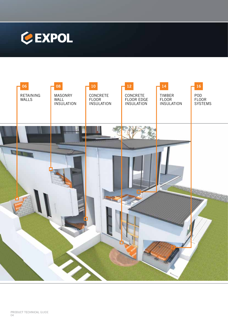

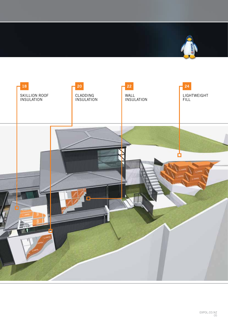

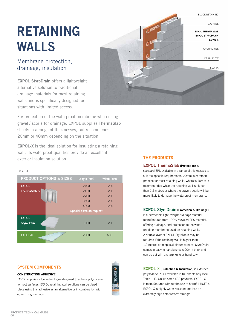# **RETAINING WALLS**

# Membrane protection, drainage, insulation

**EXPOL StyroDrain** offers a lightweight alternative solution to traditional drainage materials for most retaining walls and is specifically designed for situations with limited access.



For protection of the waterproof membrane when using gravel / scoria for drainage, EXPOL supplies **ThermaSlab** sheets in a range of thicknesses, but recommends 20mm or 40mm depending on the situation.

**EXPOL-X** is the ideal solution for insulating a retaining wall. Its waterproof qualities provide an excellent exterior insulation solution.

#### Table 1.1



## **SYSTEM COMPONENTS**

#### **CONSTRUCTION ADHESIVE**

EXPOL supplies a low solvent glue designed to adhere polystyrene to most surfaces. EXPOL retaining wall solutions can be glued in place using this adhesive as an alternative or in combination with other fixing methods.

GEXPOL



#### **EXPOL ThermaSlab (Protection)** is

standard EPS available in a range of thicknesses to suit the specific requirements. 20mm is common practice for most retaining walls, whereas 40mm is recommended when the retaining wall is higher than 1.2 metres or where the gravel / scoria will be more likely to damage the waterproof membrane.

#### **EXPOL StyroDrain (Protection & Drainage)**

is a permeable light- weight drainage material manufactured from 100% recycled EPS material, offering drainage, and protection to the waterproofing membrane used on retaining walls. A double layer of EXPOL StyroDrain may be required if the retaining wall is higher than 1.2 metres or in special circumstances. StyroDrain comes in easy to handle sheets 90mm thick and can be cut with a sharp knife or hand saw.

**EXPOL-X (Protection & Insulation)** is extruded polystyrene (XPS) available in full sheets only (see Table 1.1). Unlike some XPS products, EXPOL-X is manufactured without the use of harmful HCFC's. EXPOL-X is highly water resistant and has an extremely high compressive strength.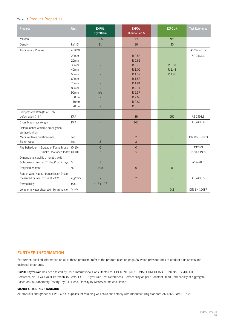### Table 1.2 Product Properties

| Property                                      | <b>Unit</b> | <b>EXPOL</b><br><b>StyroDrain</b> | <b>EXPOL</b><br><b>ThermaSlab S</b> | <b>EXPOL-X</b> | <b>Test Reference</b> |
|-----------------------------------------------|-------------|-----------------------------------|-------------------------------------|----------------|-----------------------|
| Material                                      |             | <b>EPS</b>                        | <b>EPS</b>                          | <b>XPS</b>     |                       |
| Density                                       | kg/m3       | 11                                | 16                                  | 30             |                       |
| Thickness / R Value                           | m2K/W       |                                   |                                     |                | AS 2464.5 or          |
|                                               | 20mm        |                                   | R 0.53                              |                | AS 2464.6             |
|                                               | 25mm        |                                   | R 0.66                              |                |                       |
|                                               | 30mm        |                                   | R 0.79                              | R 0.81         |                       |
|                                               | 40mm        |                                   | R 1.05                              | R 1.48         |                       |
|                                               | 50mm        |                                   | R 1.32                              | R 1.85         |                       |
|                                               | 60mm        |                                   | R 1.58                              |                |                       |
|                                               | 70mm        |                                   | R 1.84                              |                |                       |
|                                               | 80mm        |                                   | R 2.11                              |                |                       |
|                                               | 90mm        | n/a                               | R 2.37                              |                |                       |
|                                               | 100mm       |                                   | R 2.63                              |                |                       |
|                                               | 110mm       |                                   | R 2.89                              |                |                       |
|                                               | 120mm       |                                   | R 3.16                              |                |                       |
| Compressive strength at 10%                   |             |                                   |                                     |                |                       |
| deformation (min)                             | <b>KPA</b>  |                                   | 85                                  | 250            | AS 2498.3             |
| Cross breaking strength                       | <b>KPA</b>  |                                   | 165                                 |                | AS 2498.4             |
| Determination of flame propagation            |             |                                   |                                     |                |                       |
| surface ignition                              |             |                                   |                                     |                |                       |
| Medium flame duration (max)                   | sec         | $\overline{c}$                    | $\overline{c}$                      |                | AS2122.1-1993         |
| Eighth value                                  | sec         | 3                                 | 3                                   |                |                       |
| Fire behaviour - Spread of Flame Index        | $(0-10)$    | $\overline{0}$                    | $\overline{0}$                      |                | AS/NZS                |
| - Smoke Developed Index (0-10)                |             | 5                                 | 5                                   |                | 1530.3:1999           |
| Dimensional stability of length, width        |             |                                   |                                     |                |                       |
| & thickness (max) at 70 deg C for 7 days      | %           | $\mathbf{1}$                      | $\mathbf{1}$                        |                | AS2498.6              |
| Recycled content                              | $\%$        | 100                               | $\overline{0}$                      | $\overline{0}$ |                       |
| Rate of water vapour transmission (max)       |             |                                   |                                     |                |                       |
| measured parallel to rise at 23°C             | mg/m2s      |                                   | 520                                 |                | AS 2498.5             |
| Permeability                                  | m/s         | $4.18 \times 10^{-3}$             |                                     |                |                       |
| Long term water absorption by immersion % v/v |             |                                   |                                     | 0.2            | <b>DIN EN 12087</b>   |

#### **FURTHER INFORMATION**

For further, detailed information on all of these products, refer to the product page on page 26 which provides links to product data sheets and technical brochures.

**EXPOL StyroDrain** has been tested by Opus International Consultants Ltd. OPUS INTERNATIONAL CONSULTANTS Job No. 169402.00 Reference No. 02/402/001 Permeability Tests: EXPOL StyroDrain Test References: Permeability as per "Constant Head Permeability of Aggregate, Based on Soil Laboratory Testing" by E.H.Head, Density by Mass/Volume calculation.

#### **MANUFACTURING STANDARD**

All products and grades of EPS EXPOL supplies for retaining wall solutions comply with manufacturing standard AS 1366 Part 3 1992.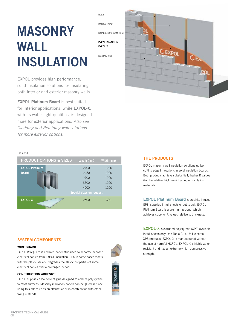# **MASONRY WALL INSULATION**

EXPOL provides high performance, solid insulation solutions for insulating both interior and exterior masonry walls.

**EXPOL Platinum Board** is best suited for interior applications, while **EXPOL-X**, with its water tight qualities, is designed more for exterior applications. *Also see Cladding and Retaining wall solutions for more exterior options.* 



#### Table 2.1



#### **SYSTEM COMPONENTS**

#### **WIRE GUARD**

EXPOL Wireguard is a waxed paper strip used to separate exposed electrical cables from EXPOL insulation. EPS in some cases reacts with the plasticiser and degrades the elastic properties of some electrical cables over a prolonged period.

#### **CONSTRUCTION ADHESIVE**

EXPOL supplies a low solvent glue designed to adhere polystyrene to most surfaces. Masonry insulation panels can be glued in place using this adhesive as an alternative or in combination with other fixing methods.

#### **THE PRODUCTS**

EXPOL masonry wall insulation solutions utilise cutting edge innovations in solid insulation boards. Both products achieve substantially higher R values (for the relative thickness) than other insulating materials.

**EXPOL Platinum Board** is graphite infused EPS, supplied in full sheets or cut to suit. EXPOL Platinum Board is a premium product which achieves superior R values relative to thickness.

**EXPOL-X** is extruded polystyrene (XPS) available in full sheets only (see Table 2.1). Unlike some XPS products, EXPOL-X is manufactured without the use of harmful HCFC's. EXPOL-X is highly water resistant and has an extremely high compressive strength.



**ICON**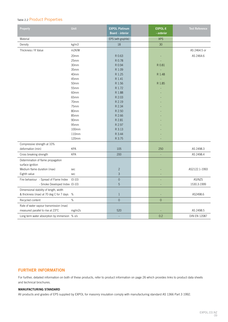# Table 2.2 Product Properties

| <b>Property</b>                               | <b>Unit</b> | <b>EXPOL Platinum</b><br>Board - interior | <b>EXPOL-X</b><br>- exterior | <b>Test Reference</b> |
|-----------------------------------------------|-------------|-------------------------------------------|------------------------------|-----------------------|
| Material                                      |             | EPS (with graphite)                       | <b>XPS</b>                   |                       |
| Density                                       | kg/m3       | 18                                        | 30                           |                       |
| Thickness / R Value                           | m2K/W       |                                           |                              | AS 2464.5 or          |
|                                               | 20mm        | R 0.63                                    |                              | AS 2464.6             |
|                                               | 25mm        | R 0.78                                    |                              |                       |
|                                               | 30mm        | R 0.94                                    | R 0.81                       |                       |
|                                               | 35mm        | R 1.09                                    |                              |                       |
|                                               | 40mm        | R 1.25                                    | R 1.48                       |                       |
|                                               | 45mm        | R 1.41                                    | L,                           |                       |
|                                               | 50mm        | R 1.56                                    | R 1.85                       |                       |
|                                               | 55mm        | R 1.72                                    |                              |                       |
|                                               | 60mm        | R 1.88                                    |                              |                       |
|                                               | 65mm        | R 2.03                                    |                              |                       |
|                                               | 70mm        | R 2.19                                    |                              |                       |
|                                               | 75mm        | R 2.34                                    |                              |                       |
|                                               | 80mm        | R 2.50                                    |                              |                       |
|                                               | 85mm        | R 2.66                                    |                              |                       |
|                                               | 90mm        | R 2.81                                    |                              |                       |
|                                               | 95mm        | R 2.97                                    |                              |                       |
|                                               | 100mm       | R 3.13                                    |                              |                       |
|                                               | 110mm       | R 3.44                                    |                              |                       |
|                                               | 120mm       | R 3.75                                    |                              |                       |
| Compressive strength at 10%                   |             |                                           |                              |                       |
| deformation (min)                             | <b>KPA</b>  | 105                                       | 250                          | AS 2498.3             |
| Cross breaking strength                       | <b>KPA</b>  | 200                                       |                              | AS 2498.4             |
| Determination of flame propagation            |             |                                           |                              |                       |
| surface ignition                              |             |                                           |                              |                       |
| Medium flame duration (max)                   | sec         | $\mathbf{2}$                              |                              | AS2122.1-1993         |
| Eighth value                                  | sec         | $\mathfrak{Z}$                            |                              |                       |
| Fire behaviour - Spread of Flame Index        | $(0-10)$    | $\mathsf{O}\xspace$                       |                              | AS/NZS                |
| - Smoke Developed Index (0-10)                |             | $\sqrt{5}$                                |                              | 1530.3:1999           |
| Dimensional stability of length, width        |             |                                           |                              |                       |
| & thickness (max) at 70 deg C for 7 days      | %           | $\mathbf{1}$                              |                              | AS2498.6              |
| Recycled content                              | $\%$        | $\overline{0}$                            | $\overline{0}$               |                       |
| Rate of water vapour transmission (max)       |             |                                           |                              |                       |
| measured parallel to rise at 23°C             | mg/m2s      | 520                                       |                              | AS 2498.5             |
| Long term water absorption by immersion % v/v |             | L,                                        | 0.2                          | <b>DIN EN 12087</b>   |

# **FURTHER INFORMATION**

For further, detailed information on both of these products, refer to product information on page 26 which provides links to product data sheets and technical brochures.

#### **MANUFACTURING STANDARD**

All products and grades of EPS supplied by EXPOL for masonry insulation comply with manufacturing standard AS 1366 Part 3 1992.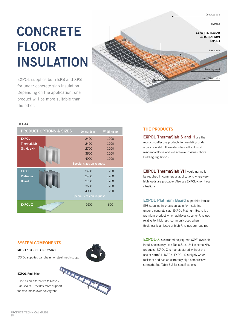# **CONCRETE FLOOR INSULATION**

EXPOL supplies both **EPS** and **XPS** for under concrete slab insulation. Depending on the application, one product will be more suitable than the other.



#### Table 3.1

| <b>PRODUCT OPTIONS &amp; SIZES</b> | Length (mm)                     | Width (mm) |
|------------------------------------|---------------------------------|------------|
| <b>EXPOL</b>                       | 2400                            | 1200       |
| <b>ThermaSlab</b>                  | 2450                            | 1200       |
| (S, H, VH)                         | 2700                            | 1200       |
|                                    | 3600                            | 1200       |
|                                    | 4900                            | 1200       |
|                                    | <b>Special sizes on request</b> |            |
| <b>EXPOL</b>                       | 2400                            | 1200       |
| <b>Platinum</b>                    | 2450                            | 1200       |
| <b>Board</b>                       | 2700                            | 1200       |
|                                    | 3600                            | 1200       |
|                                    | 4900                            | 1200       |
|                                    | <b>Special sizes on request</b> |            |
| <b>EXPOL-X</b>                     | 2500                            | 600        |

#### **SYSTEM COMPONENTS**

#### **MESH / BAR CHAIRS 25/40**

EXPOL supplies bar chairs for steel mesh support

#### **EXPOL Pod Stick**

Bar Chairs. Provides more support for steel mesh over polystyrene



## **THE PRODUCTS**

**EXPOL ThermaSlab S and H** are the most cost effective products for insulating under a concrete slab. These densities will suit most residential floors and will achieve R values above building regulations.

**EXPOL ThermaSlab VH** would normally be required in commercial applications where very high loads are probable. Also see EXPOL-X for these situations.

**EXPOL Platinum Board** is graphite infused EPS supplied in sheets suitable for insulating under a concrete slab. EXPOL Platinum Board is a premium product which achieves superior R values relative to thickness, commonly used when thickness is an issue or high R values are required.

**EXPOL-X** is extruded polystyrene (XPS) available in full sheets only (see Table 3.1). Unlike some XPS products, EXPOL-X is manufactured without the use of harmful HCFC's. EXPOL-X is highly water resistant and has an extremely high compressive strength. See Table 3.2 for specifications.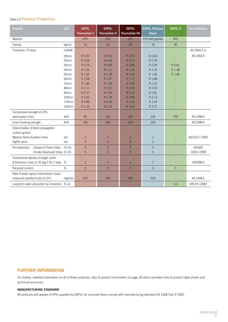# Table 3.2 Product Properties

| <b>Property</b>                               | <b>Unit</b> | <b>EXPOL</b><br><b>ThermaSlab S</b> | <b>EXPOL</b><br><b>ThermaSlab H</b> | <b>EXPOL</b><br><b>ThermaSlab VH</b> | <b>EXPOL Platinum</b><br><b>Board</b> | <b>EXPOL-X</b> | <b>Test Reference</b> |
|-----------------------------------------------|-------------|-------------------------------------|-------------------------------------|--------------------------------------|---------------------------------------|----------------|-----------------------|
| Material                                      |             | <b>EPS</b>                          | <b>EPS</b>                          | <b>EPS</b>                           | EPS (with graphite)                   | <b>XPS</b>     |                       |
| Density                                       | kg/m3       | 16                                  | 24                                  | 28                                   | 18                                    | 30             |                       |
| Thickness / R Value                           | m2K/W       |                                     |                                     |                                      |                                       |                | AS 2464.5 or          |
|                                               | 20mm        | R 0.53                              | R 0.56                              | R 0.57                               | R 0.63                                |                | AS 2464.6             |
|                                               | 25mm        | R 0.66                              | R 0.69                              | R 0.71                               | R 0.78                                |                |                       |
|                                               | 30mm        | R 0.79                              | R 0.83                              | R 0.86                               | R 0.94                                | R 0.81         |                       |
|                                               | 40mm        | R 1.05                              | R 1.11                              | R 1.14                               | R 1.25                                | R 1.48         |                       |
|                                               | 50mm        | R 1.32                              | R 1.39                              | R 1.43                               | R 1.56                                | R 1.85         |                       |
|                                               | 60mm        | R 1.58                              | R 1.67                              | R 1.71                               | R 1.88                                |                |                       |
|                                               | 70mm        | R 1.84                              | R 1.94                              | R 2.00                               | R 2.19                                |                |                       |
|                                               | 80mm        | R 2.11                              | R 2.22                              | R 2.29                               | R 2.50                                |                |                       |
|                                               | 90mm        | R 2.37                              | R 2.50                              | R 2.57                               | R 2.81                                |                |                       |
|                                               | 100mm       | R 2.63                              | R 2.78                              | R 2.86                               | R 3.13                                |                |                       |
|                                               | 110mm       | R 2.89                              | R 3.06                              | R 3.14                               | R 3.44                                |                |                       |
|                                               | 120mm       | R 3.16                              | R 3.33                              | R 3.43                               | R 3.75                                |                |                       |
| Compressive strength at 10%                   |             |                                     |                                     |                                      |                                       |                |                       |
| deformation (min)                             | <b>KPA</b>  | 85                                  | 135                                 | 165                                  | 105                                   | 250            | AS 2498.3             |
| Cross breaking strength                       | <b>KPA</b>  | 165                                 | 260                                 | 320                                  | 200                                   | $\blacksquare$ | AS 2498.4             |
| Determination of flame propagation            |             |                                     |                                     |                                      |                                       |                |                       |
| surface ignition                              |             |                                     |                                     |                                      |                                       |                |                       |
| Medium flame duration (max)                   | sec         | $\overline{2}$                      | $\overline{c}$                      | $\overline{2}$                       | $\overline{c}$                        |                | AS2122.1-1993         |
| Eighth value                                  | sec         | 3                                   | $\mathfrak{S}$                      | $\mathfrak{Z}$                       | $\overline{3}$                        | $\blacksquare$ |                       |
| Fire behaviour - Spread of Flame Index        | $(0-10)$    | $\Omega$                            | $\overline{0}$                      | $\Omega$                             | $\overline{0}$                        |                | AS/NZS                |
| - Smoke Developed Index (0-10)                |             | 5                                   | 5                                   | 5                                    | 5                                     |                | 1530.3:1999           |
| Dimensional stability of length, width        |             |                                     |                                     |                                      |                                       |                |                       |
| & thickness (max) at 70 deg C for 7 days      | %           | $\mathbf{1}$                        | $\mathbf{1}$                        | $\mathbf{1}$                         | $\mathbf{1}$                          | $\overline{a}$ | AS2498.6              |
| Recycled content                              | %           | $\Omega$                            | $\overline{0}$                      | $\Omega$                             | $\Omega$                              | $\overline{0}$ |                       |
| Rate of water vapour transmission (max)       |             |                                     |                                     |                                      |                                       |                |                       |
| measured parallel to rise at 23°C             | mg/m2s      | 520                                 | 460                                 | 400                                  | 520                                   |                | AS 2498.5             |
| Long term water absorption by immersion % v/v |             | L.                                  | ÷,                                  | ÷.                                   |                                       | 0.2            | <b>DIN EN 12087</b>   |

### **FURTHER INFORMATION**

For further, detailed information on all of these products, refer to product information on page 26 which provides links to product data sheets and technical brochures.

#### **MANUFACTURING STANDARD**

All products and grades of EPS supplied by EXPOL for concrete floors comply with manufacturing standard AS 1366 Part 3 1992.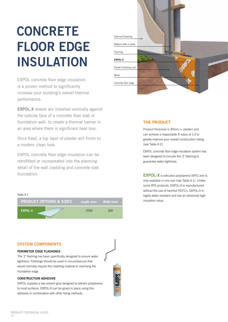# **CONCRETE FLOOR EDGE INSULATION**

EXPOL concrete floor edge insulation is a proven method to significantly increase your building's overall thermal performance.

**EXPOL-X** sheets are installed vertically against the outside face of a concrete floor slab or foundation wall, to create a thermal barrier in an area where there is significant heat loss.

Once fixed, a top layer of plaster will finish to a modern clean look.

EXPOL concrete floor edge insulation can be retrofitted or incorporated into the planning detail of the wall cladding and concrete slab foundation.





# **THE PRODUCT**

Product thickness is 30mm (+ plaster) and can achieve a respectable R-value of 1.0 to greatly improve your overall construction rating (see Table 4.2).

EXPOL concrete floor edge insulation system has been designed to include the 'Z' flashing to guarantee water tightness.

**EXPOL-X** is extruded polystyrene (XPS) and is only available in one size (see Table 4.1). Unlike some XPS products, EXPOL-X is manufactured without the use of harmful HCFC's. EXPOL-X is highly water resistant and has an extremely high insulation value.

#### **SYSTEM COMPONENTS**

#### **PERIMETER EDGE FLASHINGS**

The 'Z' flashing has been specifically designed to ensure water tightness. Flashings should be used in circumstances that would normally require the cladding material to overhang the foundation edge.

#### **CONSTRUCTION ADHESIVE**

EXPOL supplies a low solvent glue designed to adhere polystyrene to most surfaces. EXPOL-X can be glued in place using this adhesive in combination with other fixing methods.

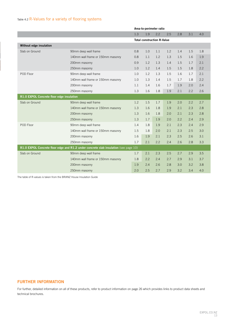# Table 4.2 R-Values for a variety of flooring systems

|                                           |                                                                                      |     | Area-to-perimeter ratio           |     |     |     |     |     |
|-------------------------------------------|--------------------------------------------------------------------------------------|-----|-----------------------------------|-----|-----|-----|-----|-----|
|                                           |                                                                                      | 1.3 | 1.9                               | 2.2 | 2.5 | 2.8 | 3.1 | 4.0 |
|                                           |                                                                                      |     | <b>Total construction R-Value</b> |     |     |     |     |     |
| Without edge insulation                   |                                                                                      |     |                                   |     |     |     |     |     |
| Slab on Ground                            | 90mm deep wall frame                                                                 | 0.8 | 1.0                               | 1.1 | 1.2 | 1.4 | 1.5 | 1.8 |
|                                           | 140mm wall frame or 150mm masonry                                                    | 0.8 | 1.1                               | 1.2 | 1.3 | 1.5 | 1.6 | 1.9 |
|                                           | 200mm masonry                                                                        | 0.9 | 1.2                               | 1.3 | 1.4 | 1.5 | 1.7 | 2.1 |
|                                           | 250mm masonry                                                                        | 1.0 | 1.2                               | 1.4 | 1.5 | 1.5 | 1.8 | 2.2 |
| POD Floor                                 | 90mm deep wall frame                                                                 | 1.0 | 1.2                               | 1.3 | 1.5 | 1.6 | 1.7 | 2.1 |
|                                           | 140mm wall frame or 150mm masonry                                                    | 1.0 | 1.3                               | 1.4 | 1.5 | 1.7 | 1.8 | 2.2 |
|                                           | 200mm masonry                                                                        | 1.1 | 1.4                               | 1.6 | 1.7 | 1.9 | 2.0 | 2.4 |
|                                           | 250mm masonry                                                                        | 1.3 | 1.6                               | 1.8 | 1.9 | 2.1 | 2.2 | 2.6 |
| R1.0 EXPOL Concrete floor edge insulation |                                                                                      |     |                                   |     |     |     |     |     |
| Slab on Ground                            | 90mm deep wall frame                                                                 | 1.2 | 1.5                               | 1.7 | 1.9 | 2.0 | 2.2 | 2.7 |
|                                           | 140mm wall frame or 150mm masonry                                                    | 1.3 | 1.6                               | 1.8 | 1.9 | 2.1 | 2.3 | 2.8 |
|                                           | 200mm masonry                                                                        | 1.3 | 1.6                               | 1.8 | 2.0 | 2.1 | 2.3 | 2.8 |
|                                           | 250mm masonry                                                                        | 1.3 | 1.7                               | 1.9 | 2.0 | 2.2 | 2.4 | 2.9 |
| POD Floor                                 | 90mm deep wall frame                                                                 | 1.4 | 1.8                               | 1.9 | 2.1 | 2.3 | 2.4 | 2.9 |
|                                           | 140mm wall frame or 150mm masonry                                                    | 1.5 | 1.8                               | 2.0 | 2.1 | 2.3 | 2.5 | 3.0 |
|                                           | 200mm masonry                                                                        | 1.6 | 1.9                               | 2.1 | 2.3 | 2.5 | 2.6 | 3.1 |
|                                           | 250mm masonry                                                                        | 1.7 | 2.1                               | 2.2 | 2.4 | 2.6 | 2.8 | 3.3 |
|                                           | R1.0 EXPOL Concrete floor edge and R1.2 under concrete slab insulation (see page 10) |     |                                   |     |     |     |     |     |
| Slab on Ground                            | 90mm deep wall frame                                                                 | 1.7 | 2.1                               | 2.3 | 2.5 | 2.7 | 2.9 | 3.5 |
|                                           | 140mm wall frame or 150mm masonry                                                    | 1.8 | 2.2                               | 2.4 | 2.7 | 2.9 | 3.1 | 3.7 |
|                                           | 200mm masonry                                                                        | 1.9 | 2.4                               | 2.6 | 2.8 | 3.0 | 3.2 | 3.8 |
|                                           | 250mm masonry                                                                        | 2.0 | 2.5                               | 2.7 | 2.9 | 3.2 | 3.4 | 4.0 |

The table of R-values is taken from the BRANZ House Insulation Guide

### **FURTHER INFORMATION**

For further, detailed information on all of these products, refer to product information on page 26 which provides links to product data sheets and technical brochures.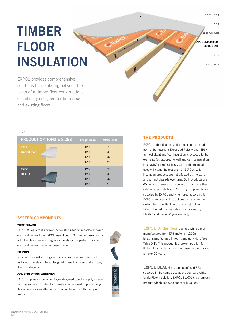Timber flooring

Expol wireguard

Plastic fixings

Joists

**EXPOL UNDERFLOOR EXPOL BLACK** 

Wiring

# **TIMBER FLOOR INSULATION**

EXPOL provides comprehensive solutions for insulating between the joists of a timber floor construction, specifically designed for both **new** and **existing** floors.

#### Table 5.1

|                   | <b>PRODUCT OPTIONS &amp; SIZES</b> | Length (mm) | Width (mm) |
|-------------------|------------------------------------|-------------|------------|
| <b>EXPOL</b>      |                                    | 1200        | 360        |
| <b>UnderFloor</b> |                                    | 1200        | 410        |
|                   |                                    | 1200        | 470        |
|                   |                                    | 1200        | 560        |
| <b>EXPOL</b>      |                                    | 1200        | 360        |
| <b>BLACK</b>      |                                    | 1200        | 410        |
|                   |                                    | 1200        | 470        |
|                   |                                    | 1200        | 560        |

#### **SYSTEM COMPONENTS**

#### **WIRE GUARD**

EXPOL Wireguard is a waxed paper strip used to separate exposed electrical cables from EXPOL insulation. EPS in some cases reacts with the plasticiser and degrades the elastic properties of some electrical cables over a prolonged period.

#### **FIXINGS**

Non corrosive nylon fixings with a stainless steel nail are used to fix EXPOL panels in place, designed to suit both new and existing floor installations.

#### **CONSTRUCTION ADHESIVE**

EXPOL supplies a low solvent glue designed to adhere polystyrene to most surfaces. UnderFloor panels can be glued in place using this adhesive as an alternative or in combination with the nylon fixings.

### **THE PRODUCTS**

EXPOL timber floor insulation solutions are made from a fire retardant Expanded Polystyrene (EPS). In most situations floor insulation is exposed to the elements (as opposed to wall and ceiling insulation in a cavity) therefore, it is vital that the materials used will stand the test of time. EXPOL's solid insulation products are not affected by moisture and will not degrade over time. Both products are 60mm in thickness with concertina cuts on either side for easy installation. All fixing components are supplied by EXPOL and when used according to EXPOL's installation instructions, will ensure the system lasts the life time of the construction. EXPOL UnderFloor Insulation is appraised by BRANZ and has a 50 year warranty.

**EXPOL UnderFloor** is a rigid white panel manufactured from EPS material, 1200mm in length manufactured in four standard widths (see Table 5.1). This product is a proven solution for timber floor insulation and has been on the market for over 20 years.

**EXPOL BLACK** is graphite infused EPS supplied in the same sizes as the standard white UnderFloor insulation. EXPOL BLACK is a premium product which achieves superior R values.

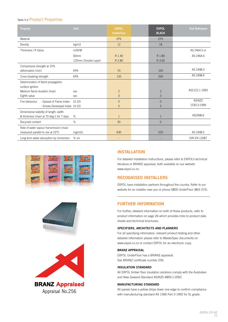### Table 5.2 Product Properties

| Property                                                                           | Unit                         | <b>EXPOL</b><br><b>UnderFloor</b> | <b>EXPOL</b><br><b>BLACK</b> | <b>Test Reference</b> |
|------------------------------------------------------------------------------------|------------------------------|-----------------------------------|------------------------------|-----------------------|
| Material                                                                           |                              | <b>EPS</b>                        | <b>EPS</b>                   |                       |
| Density                                                                            | kg/m3                        | 12                                | 18                           |                       |
| Thickness / R Value                                                                | m <sub>2K</sub> /W           |                                   |                              | AS 2464.5 or          |
|                                                                                    | 60mm<br>120mm (Double Layer) | R 1.40<br>R 2.80                  | R 1.80<br>R 3.60             | AS 2464.6             |
| Compressive strength at 10%                                                        |                              |                                   |                              |                       |
| deformation (min)                                                                  | <b>KPA</b>                   | 70                                | 105                          | AS 2498.3             |
| Cross breaking strength                                                            | <b>KPA</b>                   | 135                               | 200                          | AS 2498.4             |
| Determination of flame propagation                                                 |                              |                                   |                              |                       |
| surface ignition<br>Medium flame duration (max)                                    | sec                          | $\overline{c}$                    | $\overline{2}$               | AS2122.1-1993         |
| Eighth value                                                                       | sec                          | 3                                 | 3                            |                       |
| - Spread of Flame Index<br>Fire behaviour<br>- Smoke Developed Index (0-10)        | $(0-10)$                     | $\overline{0}$<br>5               | $\overline{0}$<br>5          | AS/NZS<br>1530.3:1999 |
| Dimensional stability of length, width<br>& thickness (max) at 70 deg C for 7 days | %                            | $\mathbf{1}$                      | 1                            | AS2498.6              |
| Recycled content                                                                   | %                            | 30                                | $\Omega$                     |                       |
| Rate of water vapour transmission (max)<br>measured parallel to rise at 23°C       | mg/m2s                       | 630                               | 520                          | AS 2498.5             |
| Long term water absorption by immersion                                            | % v/v                        |                                   |                              | <b>DIN EN 12087</b>   |







**BRANZ Appraised** Appraisal No.256

#### **INSTALLATION**

For detailed installation instructions, please refer to EXPOL's technical literature or BRANZ appraisal, both available on our website www.expol.co.nz.

### **RECOGNISED INSTALLERS**

EXPOL have installation partners throughout the country. Refer to our website for an installer near you or phone 0800 UnderFloor (863 373).

## **FURTHER INFORMATION**

For further, detailed information on both of these products, refer to product information on page 26 which provides links to product data sheets and technical brochures.

#### **SPECIFIERS, ARCHITECTS AND PLANNERS**

For all specifying information, relevant product testing and other detailed information please refer to MasterSpec documents on www.expol.co.nz or contact EXPOL for an electronic copy.

#### **BRANZ APPRAISAL**

EXPOL UnderFloor has a BRANZ appraisal. See BRANZ certificate number 256.

#### **INSULATION STANDARD**

All EXPOL timber floor insulation solutions comply with the Australian and New Zealand Standard AS/NZS 4859.1:2002.

#### **MANUFACTURING STANDARD**

All panels have a yellow stripe down one edge to confirm compliance with manufacturing standard AS 1366 Part 3 1992 for SL grade.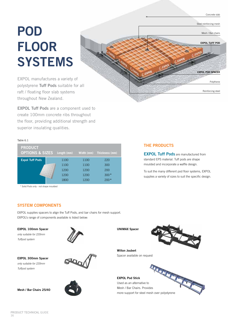# **POD FLOOR SYSTEMS**

EXPOL manufactures a variety of polystyrene **Tuff Pods** suitable for all raft / floating floor slab systems throughout New Zealand.

**EXPOL Tuff Pods** are a component used to create 100mm concrete ribs throughout the floor, providing additional strength and superior insulating qualities.

#### Table 6.1

| <b>PRODUCT</b><br><b>OPTIONS &amp; SIZES</b> | Length (mm) |      | Width (mm) Thickness (mm) |
|----------------------------------------------|-------------|------|---------------------------|
| <b>Expol Tuff Pods</b>                       | 1100        | 1100 | 220                       |
|                                              | 1100        | 1100 | 300                       |
|                                              | 1200        | 1200 | 200                       |
|                                              | 1200        | 1200 | $300*$                    |
|                                              | 1800        | 1200 | $200*$                    |

\* Solid Pods only - not shape moulded

# **THE PRODUCTS**

**EXPOL Tuff Pods** are manufactured from standard EPS material. Tuff pods are shape moulded and incorporate a waffle design.

Concrete slab

Mesh / Bar chairs

Steel reinforcing mesh

**EXPOL TUFF POD**

Polythene

Reinforcing steel

**EXPOL POD SPACER**

To suit the many different pod floor systems, EXPOL supplies a variety of sizes to suit the specific design.

### **SYSTEM COMPONENTS**

EXPOL supplies spacers to align the Tuff Pods, and bar chairs for mesh support. EXPOL's range of components available is listed below:

#### **EXPOL 100mm Spacer** *only suitable for 220mm Tuffpod system*



**EXPOL 300mm Spacer** *only suitable for 220mm Tuffpod system*

**Mesh / Bar Chairs 25/40**





**UNIMAX Spacer**



**Wilton Joubert** Spacer available on request

**EXPOL Pod Stick** EXPOL Pod Stick<br>Used as an alternative to Mesh / Bar Chairs. Provides more support for steel mesh over polystyrene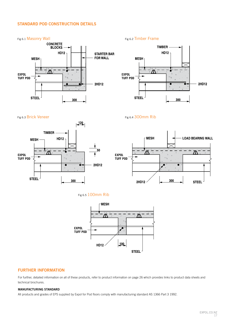## **STANDARD POD CONSTRUCTION DETAILS**





Fig 6.3 Brick Veneer Fig 6.4 300mm Rib











# **FURTHER INFORMATION**

For further, detailed information on all of these products, refer to product information on page 26 which provides links to product data sheets and technical brochures.

#### **MANUFACTURING STANDARD**

All products and grades of EPS supplied by Expol for Pod floors comply with manufacturing standard AS 1366 Part 3 1992.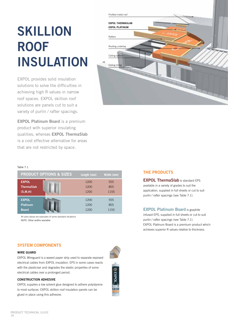# **SKILLION ROOF INSULATION**

EXPOL provides solid insulation solutions to solve the difficulties in achieving high R values in narrow roof spaces. EXPOL skillion roof solutions are panels cut to suit a variety of purlin / rafter spacings.

**EXPOL Platinum Board** is a premium product with superior insulating qualities, whereas **EXPOL ThermaSlab** is a cost effective alternative for areas that are not restricted by space.



#### Table 7.1

|                   | <b>PRODUCT OPTIONS &amp; SIZES</b> | Length (mm) | Width (mm) |
|-------------------|------------------------------------|-------------|------------|
| <b>EXPOL</b>      |                                    | 1200        | 555        |
| <b>ThermaSlab</b> |                                    | 1200        | 855        |
| (S, M, H)         |                                    | 1200        | 1155       |
| <b>EXPOL</b>      |                                    | 1200        | 555        |
| Platinum          |                                    | 1200        | 855        |
| <b>Board</b>      |                                    | 1200        | 1155       |

All sizes above are examples of some standard situations NOTE: Other widths available

#### **THE PRODUCTS**

**EXPOL ThermaSlab** is standard EPS available in a variety of grades to suit the application, supplied in full sheets or cut to suit purlin / rafter spacings (see Table 7.1).

**EXPOL Platinum Board** is graphite infused EPS, supplied in full sheets or cut to suit purlin / rafter spacings (see Table 7.1). EXPOL Platinum Board is a premium product which achieves superior R values relative to thickness.

### **SYSTEM COMPONENTS**

#### **WIRE GUARD**

EXPOL Wireguard is a waxed paper strip used to separate exposed electrical cables from EXPOL insulation. EPS in some cases reacts with the plasticiser and degrades the elastic properties of some electrical cables over a prolonged period.

#### **CONSTRUCTION ADHESIVE**

EXPOL supplies a low solvent glue designed to adhere polystyrene to most surfaces. EXPOL skillion roof insulation panels can be glued in place using this adhesive.



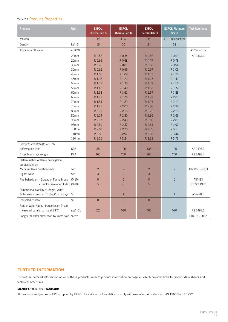# Table 7.2 Product Properties

| Property                                               | Unit       | <b>EXPOL</b><br><b>ThermaSlab S</b> | <b>EXPOL</b><br><b>ThermaSlab M</b> | <b>EXPOL</b><br>ThermaSlab H | <b>EXPOL Platinum</b><br><b>Board</b> | <b>Test Reference</b> |
|--------------------------------------------------------|------------|-------------------------------------|-------------------------------------|------------------------------|---------------------------------------|-----------------------|
| Material                                               |            | <b>EPS</b>                          | <b>EPS</b>                          | <b>EPS</b>                   | EPS (with graphite)                   |                       |
| Density                                                | kg/m3      | 16                                  | 20                                  | 24                           | 18                                    |                       |
| Thickness / R Value                                    | m2K/W      |                                     |                                     |                              |                                       | AS 2464.5 or          |
|                                                        | 20mm       | R 0.53                              | R 0.54                              | R 0.56                       | R 0.63                                | AS 2464.6             |
|                                                        | 25mm       | R 0.66                              | R 0.68                              | R 0.69                       | R 0.78                                |                       |
|                                                        | 30mm       | R 0.79                              | R 0.81                              | R 0.83                       | R 0.94                                |                       |
|                                                        | 35mm       | R 0.92                              | R 0.95                              | R 0.97                       | R 1.09                                |                       |
|                                                        | 40mm       | R 1.05                              | R 1.08                              | R 1.11                       | R 1.25                                |                       |
|                                                        | 45mm       | R 1.18                              | R 1.22                              | R 1.25                       | R 1.41                                |                       |
|                                                        | 50mm       | R 1.32                              | R 1.35                              | R 1.39                       | R 1.56                                |                       |
|                                                        | 55mm       | R 1.45                              | R 1.49                              | R 1.53                       | R 1.72                                |                       |
|                                                        | 60mm       | R 1.58                              | R 1.62                              | R 1.67                       | R 1.88                                |                       |
|                                                        | 65mm       | R 1.71                              | R 1.76                              | R 1.81                       | R 2.03                                |                       |
|                                                        | 70mm       | R 1.84                              | R 1.89                              | R 1.94                       | R 2.19                                |                       |
|                                                        | 75mm       | R 1.97                              | R 2.03                              | R 2.08                       | R 2.34                                |                       |
|                                                        | 80mm       | R 2.11                              | R 2.16                              | R 2.22                       | R 2.50                                |                       |
|                                                        | 85mm       | R 2.24                              | R 2.30                              | R 2.36                       | R 2.66                                |                       |
|                                                        | 90mm       | R 2.37                              | R 2.43                              | R 2.50                       | R 2.81                                |                       |
|                                                        | 95mm       | R 2.50                              | R 2.57                              | R 2.64                       | R 2.97                                |                       |
|                                                        | 100mm      | R 2.63                              | R 2.70                              | R 2.78                       | R 3.13                                |                       |
|                                                        | 110mm      | R 2.89                              | R 2.97                              | R 3.06                       | R 3.44                                |                       |
|                                                        | 120mm      | R 3.16                              | R 3.24                              | R 3.33                       | R 3.75                                |                       |
| Compressive strength at 10%                            |            |                                     |                                     |                              |                                       |                       |
| deformation (min)                                      | <b>KPA</b> | 85                                  | 105                                 | 135                          | 105                                   | AS 2498.3             |
| Cross breaking strength                                | <b>KPA</b> | 165                                 | 200                                 | 260                          | 200                                   | AS 2498.4             |
| Determination of flame propagation<br>surface ignition |            |                                     |                                     |                              |                                       |                       |
| Medium flame duration (max)                            | sec        | $\overline{c}$                      | $\overline{c}$                      | $\overline{c}$               | $\overline{c}$                        | AS2122.1-1993         |
| Eighth value                                           | sec        | $\overline{3}$                      | 3                                   | 3                            | 3                                     |                       |
| Fire behaviour - Spread of Flame Index                 | $(0-10)$   | $\mathbf{0}$                        | $\mathsf{O}\xspace$                 | $\mathbf{0}$                 | $\mathbf 0$                           | AS/NZS                |
| - Smoke Developed Index (0-10)                         |            | 5                                   | 5                                   | 5                            | 5                                     | 1530.3:1999           |
| Dimensional stability of length, width                 |            |                                     |                                     |                              |                                       |                       |
| & thickness (max) at 70 deg C for 7 days               | %          | $\mathbf{1}$                        | $\mathbf{1}$                        | $\mathbf{1}$                 | $\mathbf{1}$                          | AS2498.6              |
| Recycled content                                       | $\%$       | $\mathsf{O}$                        | $\mathsf{O}\xspace$                 | $\overline{0}$               | $\overline{0}$                        |                       |
| Rate of water vapour transmission (max)                |            |                                     |                                     |                              |                                       |                       |
| measured parallel to rise at 23°C                      | mg/m2s     | 520                                 | 520                                 | 460                          | 520                                   | AS 2498.5             |
| Long term water absorption by immersion % v/v          |            | ÷,                                  |                                     |                              |                                       | <b>DIN EN 12087</b>   |

# **FURTHER INFORMATION**

For further, detailed information on all of these products, refer to product information on page 26 which provides links to product data sheets and technical brochures.

#### **MANUFACTURING STANDARD**

All products and grades of EPS supplied by EXPOL for skillion roof insulation comply with manufacturing standard AS 1366 Part 3 1992.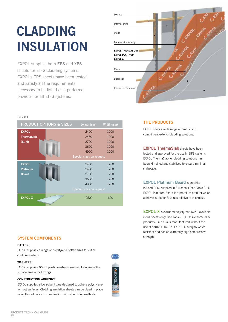# **CLADDING INSULATION**

EXPOL supplies both **EPS** and **XPS**  sheets for EIFS cladding systems. EXPOL's EPS sheets have been tested and satisfy all the requirements necessary to be listed as a preferred provider for all EIFS systems.



#### Table 8.1

| <b>PRODUCT OPTIONS &amp; SIZES</b> | Length (mm)                     | Width (mm) |
|------------------------------------|---------------------------------|------------|
| <b>EXPOL</b>                       | 2400                            | 1200       |
| <b>ThermaSlab</b>                  | 2450                            | 1200       |
| (S, H)                             | 2700                            | 1200       |
|                                    | 3600                            | 1200       |
|                                    | 4900                            | 1200       |
|                                    | <b>Special sizes on request</b> |            |
| <b>EXPOL</b>                       | 2400                            | 1200       |
| <b>Platinum</b>                    | 2450                            | 1200       |
| <b>Board</b>                       | 2700                            | 1200       |
|                                    | 3600                            | 1200       |
|                                    | 4900                            | 1200       |
|                                    | <b>Special sizes on request</b> |            |
| <b>EXPOL-X</b>                     | 2500                            | 600        |

# **SYSTEM COMPONENTS** Strength.

#### **BATTENS**

EXPOL supplies a range of polystyrene batten sizes to suit all cladding systems.

#### **WASHERS**

EXPOL supplies 40mm plastic washers designed to increase the surface area of nail fixings.

#### **CONSTRUCTION ADHESIVE**

EXPOL supplies a low solvent glue designed to adhere polystyrene to most surfaces. Cladding insulation sheets can be glued in place using this adhesive in combination with other fixing methods.

#### **THE PRODUCTS**

EXPOL offers a wide range of products to compliment exterior cladding solutions.

**EXPOL ThermaSlab** sheets have been tested and approved for the use in EIFS systems. EXPOL ThermaSlab for cladding solutions has been kiln dried and stabilised to ensure minimal shrinkage.

**EXPOL Platinum Board** is graphite infused EPS, supplied in full sheets (see Table 8.1). EXPOL Platinum Board is a premium product which achieves superior R values relative to thickness.

**EXPOL-X** is extruded polystyrene (XPS) available in full sheets only (see Table 8.1). Unlike some XPS products, EXPOL-X is manufactured without the use of harmful HCFC's. EXPOL-X is highly water resistant and has an extremely high compressive

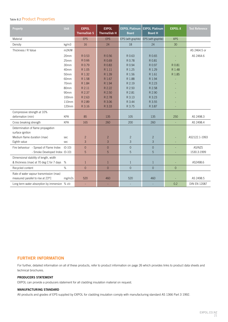## Table 8.2 Product Properties

| Property                                      | <b>Unit</b> | <b>EXPOL</b><br><b>ThermaSlab S</b> | <b>EXPOL</b><br><b>ThermaSlab H</b> | <b>EXPOL Platinum</b><br><b>Board</b> | <b>EXPOL Platinum</b><br><b>Board H</b> | <b>EXPOL-X</b> | <b>Test Reference</b> |
|-----------------------------------------------|-------------|-------------------------------------|-------------------------------------|---------------------------------------|-----------------------------------------|----------------|-----------------------|
| Material                                      |             | <b>EPS</b>                          | <b>EPS</b>                          |                                       | EPS (with graphite) EPS (with graphite) | <b>XPS</b>     |                       |
| Density                                       | kg/m3       | 16                                  | 24                                  | 18                                    | 24                                      | 30             |                       |
| Thickness / R Value                           | m2K/W       |                                     |                                     |                                       |                                         |                | AS 2464.5 or          |
|                                               | 20mm        | R 0.53                              | R 0.56                              | R 0.63                                | R 0.65                                  |                | AS 2464.6             |
|                                               | 25mm        | R 0.66                              | R 0.69                              | R 0.78                                | R 0.81                                  |                |                       |
|                                               | 30mm        | R 0.79                              | R 0.83                              | R 0.94                                | R 0.97                                  | R 0.81         |                       |
|                                               | 40mm        | R 1.05                              | R 1.11                              | R 1.25                                | R 1.29                                  | R 1.48         |                       |
|                                               | 50mm        | R 1.32                              | R 1.39                              | R 1.56                                | R 1.61                                  | R 1.85         |                       |
|                                               | 60mm        | R 1.58                              | R 1.67                              | R 1.88                                | R 1.94                                  |                |                       |
|                                               | 70mm        | R 1.84                              | R 1.94                              | R 2.19                                | R 2.23                                  |                |                       |
|                                               | 80mm        | R 2.11                              | R 2.22                              | R 2.50                                | R 2.58                                  |                |                       |
|                                               | 90mm        | R 2.37                              | R 2.50                              | R 2.81                                | R 2.90                                  |                |                       |
|                                               | 100mm       | R 2.63                              | R 2.78                              | R 3.13                                | R 3.23                                  |                |                       |
|                                               | 110mm       | R 2.89                              | R 3.06                              | R 3.44                                | R 3.55                                  |                |                       |
|                                               | 120mm       | R 3.16                              | R 3.33                              | R 3.75                                | R 3.87                                  |                |                       |
| Compressive strength at 10%                   |             |                                     |                                     |                                       |                                         |                |                       |
| deformation (min)                             | <b>KPA</b>  | 85                                  | 135                                 | 105                                   | 135                                     | 250            | AS 2498.3             |
| Cross breaking strength                       | <b>KPA</b>  | 165                                 | 260                                 | 200                                   | 260                                     |                | AS 2498.4             |
| Determination of flame propagation            |             |                                     |                                     |                                       |                                         |                |                       |
| surface ignition                              |             |                                     |                                     |                                       |                                         |                |                       |
| Medium flame duration (max)                   | sec         | $\overline{2}$                      | $\overline{c}$                      | $\overline{c}$                        | $\overline{c}$                          |                | AS2122.1-1993         |
| Eighth value                                  | sec         | $\overline{3}$                      | 3                                   | $\overline{3}$                        | 3                                       | ÷,             |                       |
| Fire behaviour - Spread of Flame Index        | $(0-10)$    | $\Omega$                            | $\overline{0}$                      | $\overline{0}$                        | $\overline{0}$                          |                | AS/NZS                |
| - Smoke Developed Index (0-10)                |             | 5                                   | 5                                   | 5                                     | 5                                       |                | 1530.3:1999           |
| Dimensional stability of length, width        |             |                                     |                                     |                                       |                                         |                |                       |
| & thickness (max) at 70 deg C for 7 days      | %           | $\mathbf{1}$                        | $\mathbf{1}$                        | $\mathbf{1}$                          | $\mathbf{1}$                            | ÷,             | AS2498.6              |
| Recycled content                              | $\%$        | $\Omega$                            | $\overline{0}$                      | $\Omega$                              | $\Omega$                                | $\overline{0}$ |                       |
| Rate of water vapour transmission (max)       |             |                                     |                                     |                                       |                                         |                |                       |
| measured parallel to rise at 23°C             | mg/m2s      | 520                                 | 460                                 | 520                                   | 460                                     |                | AS 2498.5             |
| Long term water absorption by immersion % v/v |             | ÷.                                  | L.                                  | L,                                    | L,                                      | 0.2            | <b>DIN EN 12087</b>   |

#### **FURTHER INFORMATION**

For further, detailed information on all of these products, refer to product information on page 26 which provides links to product data sheets and technical brochures.

#### **PRODUCERS STATEMENT**

EXPOL can provide a producers statement for all cladding insulation material on request.

#### **MANUFACTURING STANDARD**

All products and grades of EPS supplied by EXPOL for cladding insulation comply with manufacturing standard AS 1366 Part 3 1992.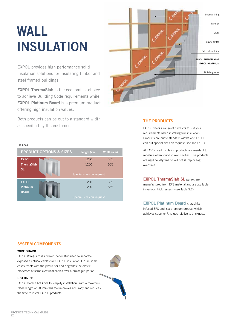# **WALL INSULATION**

EXPOL provides high performance solid insulation solutions for insulating timber and steel framed buildings.

**EXPOL ThermaSlab** is the economical choice to achieve Building Code requirements while **EXPOL Platinum Board** is a premium product offering high insulation values.

Both products can be cut to a standard width as specified by the customer.



# **THE PRODUCTS**

EXPOL offers a range of products to suit your requirements when installing wall insulation. Products are cut to standard widths and EXPOL can cut special sizes on request (see Table 9.1).

All EXPOL wall insulation products are resistant to moisture often found in wall cavities. The products are rigid polystyrene so will not slump or sag over time.

**EXPOL ThermaSlab SL** panels are manufactured from EPS material and are available in various thicknesses - (see Table 9.2)

**EXPOL Platinum Board** is graphite infused EPS and is a premium product which achieves superior R values relative to thickness.

#### Table 9.1



#### **SYSTEM COMPONENTS**

#### **WIRE GUARD**

EXPOL Wireguard is a waxed paper strip used to separate exposed electrical cables from EXPOL insulation. EPS in some cases reacts with the plasticiser and degrades the elastic properties of some electrical cables over a prolonged period.

#### **HOT KNIFE**

EXPOL stock a hot knife to simplify installation. With a maximum blade length of 200mm this tool improves accuracy and reduces the time to install EXPOL products.

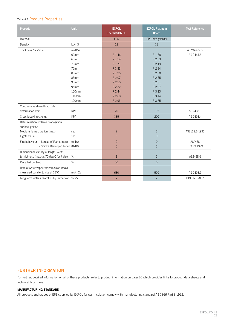# Table 9.2 Product Properties

| Property                                                                     | Unit               | <b>EXPOL</b><br><b>ThermaSlab SL</b> | <b>EXPOL Platinum</b><br><b>Board</b> | <b>Test Reference</b> |
|------------------------------------------------------------------------------|--------------------|--------------------------------------|---------------------------------------|-----------------------|
| Material                                                                     |                    | <b>EPS</b>                           | EPS (with graphite)                   |                       |
| Density                                                                      | kg/m3              | 12                                   | 18                                    |                       |
| Thickness / R Value                                                          | m <sub>2K</sub> /W |                                      |                                       | AS 2464.5 or          |
|                                                                              | 60mm               | R 1.46                               | R 1.88                                | AS 2464.6             |
|                                                                              | 65mm               | R 1.59                               | R 2.03                                |                       |
|                                                                              | 70mm               | R 1.71                               | R 2.19                                |                       |
|                                                                              | 75mm               | R 1.83                               | R 2.34                                |                       |
|                                                                              | 80mm               | R 1.95                               | R 2.50                                |                       |
|                                                                              | 85mm               | R 2.07                               | R 2.65                                |                       |
|                                                                              | 90mm               | R 2.20                               | R 2.81                                |                       |
|                                                                              | 95mm               | R 2.32                               | R 2.97                                |                       |
|                                                                              | 100mm              | R 2.44                               | R 3.13                                |                       |
|                                                                              | 110mm              | R 2.68                               | R 3.44                                |                       |
|                                                                              | 120mm              | R 2.93                               | R 3.75                                |                       |
| Compressive strength at 10%                                                  |                    |                                      |                                       |                       |
| deformation (min)                                                            | <b>KPA</b>         | 70                                   | 105                                   | AS 2498.3             |
| Cross breaking strength                                                      | <b>KPA</b>         | 135                                  | 200                                   | AS 2498.4             |
| Determination of flame propagation<br>surface ignition                       |                    |                                      |                                       |                       |
| Medium flame duration (max)                                                  | sec                | $\overline{c}$                       | $\overline{c}$                        | AS2122.1-1993         |
| Eighth value                                                                 | sec                | 3                                    | $\mathsf 3$                           |                       |
| Fire behaviour - Spread of Flame Index                                       | $(0-10)$           | $\mathbf 0$                          | $\mathbf 0$                           | AS/NZS                |
| - Smoke Developed Index (0-10)                                               |                    | 5                                    | 5                                     | 1530.3:1999           |
| Dimensional stability of length, width                                       |                    |                                      |                                       |                       |
| & thickness (max) at 70 deg C for 7 days                                     | %                  | $\mathbf{1}$                         | $\mathbf{1}$                          | AS2498.6              |
| Recycled content                                                             | $\%$               | 30                                   | $\overline{0}$                        |                       |
| Rate of water vapour transmission (max)<br>measured parallel to rise at 23°C | mg/m2s             | 630                                  | 520                                   | AS 2498.5             |
| Long term water absorption by immersion % v/v                                |                    | L,                                   |                                       | <b>DIN EN 12087</b>   |

# **FURTHER INFORMATION**

For further, detailed information on all of these products, refer to product information on page 26 which provides links to product data sheets and technical brochures.

#### **MANUFACTURING STANDARD**

All products and grades of EPS supplied by EXPOL for wall insulation comply with manufacturing standard AS 1366 Part 3 1992.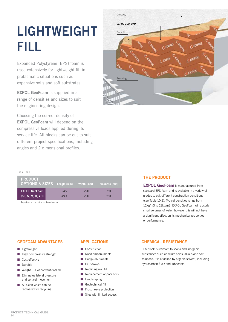# **LIGHTWEIGHT FILL**

Expanded Polystyrene (EPS) foam is used extensively for lightweight fill in problematic situations such as expansive soils and soft substrates.

**EXPOL GeoFoam** is supplied in a range of densities and sizes to suit the engineering design.

Choosing the correct density of **EXPOL GeoFoam** will depend on the compressive loads applied during its service life. All blocks can be cut to suit different project specifications, including angles and 2 dimensional profiles.



#### Table 10.1

| <b>PRODUCT</b><br><b>OPTIONS &amp; SIZES</b> Length (mm) Width (mm) Thickness (mm) |      |      |     |
|------------------------------------------------------------------------------------|------|------|-----|
| <b>EXPOL GeoFoam</b>                                                               | 2450 | 1220 | 620 |
| (SL, S, M, H, VH)                                                                  | 4900 | 1220 | 620 |

Any size can be cut from these blocks

#### **THE PRODUCT**

**EXPOL GeoFoam** is manufactured from standard EPS foam and is available in a variety of grades to suit different construction conditions (see Table 10.2). Typical densities range from 12kg/m3 to 28kg/m3. EXPOL GeoFoam will absorb small volumes of water, however this will not have a significant effect on its mechanical properties or performance.

#### **GEOFOAM ADVANTAGES**

- **n** Lightweight
- High compressive strength
- $\Box$  Cost effective
- **n** Durable
- $\blacksquare$  Weighs 1% of conventional fill
- **n** Fliminates lateral pressure and vertical movement
- $\blacksquare$  All clean waste can be recovered for recycling

# **APPLICATIONS**

- **n** Construction
- $\blacksquare$  Road embankments
- $\blacksquare$  Bridge abutments
- Causeways
- Retaining wall fill
- $\blacksquare$  Replacement of poor soils
- $\blacksquare$  Landscaping
- Geotechnical fill
- $\blacksquare$  Frost heave protection
- $\blacksquare$  Sites with limited access

# **CHEMICAL RESISTANCE**

EPS block is resistant to soaps and inorganic substances such as dilute acids, alkalis and salt solutions. It is attacked by organic solvent, including hydrocarbon fuels and lubricants.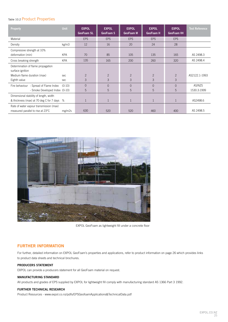### Table 10.2 Product Properties

| Property                                                                     | Unit       | <b>EXPOL</b><br><b>GeoFoam SL</b> | <b>EXPOL</b><br>GeoFoam S | <b>EXPOL</b><br>GeoFoam M | <b>EXPOL</b><br>GeoFoam H | <b>EXPOL</b><br><b>GeoFoam VH</b> | <b>Test Reference</b> |
|------------------------------------------------------------------------------|------------|-----------------------------------|---------------------------|---------------------------|---------------------------|-----------------------------------|-----------------------|
| Material                                                                     |            | <b>EPS</b>                        | <b>EPS</b>                | <b>EPS</b>                | <b>EPS</b>                | <b>EPS</b>                        |                       |
| Density                                                                      | kg/m3      | 12                                | 16                        | 20                        | 24                        | 28                                |                       |
| Compressive strength at 10%<br>deformation (min)                             | <b>KPA</b> | 70                                | 85                        | 105                       | 135                       | 165                               | AS 2498.3             |
| Cross breaking strength                                                      | <b>KPA</b> | 135                               | 165                       | 200                       | 260                       | 320                               | AS 2498.4             |
| Determination of flame propagation<br>surface ignition                       |            |                                   |                           |                           |                           |                                   |                       |
| Medium flame duration (max)                                                  | sec        | $\overline{2}$                    | $\overline{2}$            | $\overline{2}$            | $\overline{2}$            | 2                                 | AS2122.1-1993         |
| Eighth value                                                                 | sec        | 3                                 | 3                         | 3                         | 3                         | 3                                 |                       |
| Fire behaviour - Spread of Flame Index                                       | $(0-10)$   | $\overline{0}$                    | $\Omega$                  | $\Omega$                  | $\Omega$                  | $\Omega$                          | AS/NZS                |
| - Smoke Developed Index (0-10)                                               |            | 5                                 | 5                         | 5                         | 5                         | 5                                 | 1530.3:1999           |
| Dimensional stability of length, width                                       |            |                                   |                           |                           |                           |                                   |                       |
| & thickness (max) at 70 deg C for 7 days                                     | %          | $\mathbf{1}$                      | 1                         | 1                         | $\mathbf{1}$              | $\mathbf{1}$                      | AS2498.6              |
| Rate of water vapour transmission (max)<br>measured parallel to rise at 23°C | mg/m2s     | 630                               | 520                       | 520                       | 460                       | 400                               | AS 2498.5             |



EXPOL GeoFoam as lightweight fill under a concrete floor

#### **FURTHER INFORMATION**

For further, detailed information on EXPOL GeoFoam's properties and applications, refer to product information on page 26 which provides links to product data sheets and technical brochures.

#### **PRODUCERS STATEMENT**

EXPOL can provide a producers statement for all GeoFoam material on request.

#### **MANUFACTURING STANDARD**

All products and grades of EPS supplied by EXPOL for lightweight fill comply with manufacturing standard AS 1366 Part 3 1992.

#### **FURTHER TECHNICAL RESEARCH**

Product Resources - www.expol.co.nz/pdfs/EPSGeofoamApplications&TechnicalData.pdf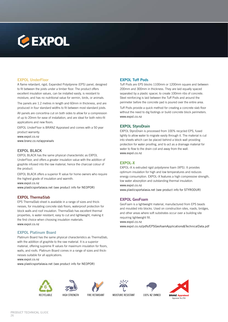

#### **EXPOL UnderFloor**

A flame retardant, rigid, Expanded Polystyrene (EPS) panel, designed to fit between the joists under a timber floor. The product offers excellent insulation values, can be installed easily, is resistant to moisture, and has no nutritional value for vermin, birds, or animals.

The panels are 1.2 metres in length and 60mm in thickness, and are produced in four standard widths to fit between most standard joists.

All panels are concertina cut on both sides to allow for a compression of up to 20mm for ease of installation, and are ideal for both retro-fit applications and new floors.

EXPOL UnderFloor is BRANZ Appraised and comes with a 50 year product warranty. www.expol.co.nz

www.branz.co.nz/appraisals

#### **EXPOL BLACK**

EXPOL BLACK has the same physical characteristic as EXPOL UnderFloor, and offers a greater insulation value with the addition of graphite infused into the raw material, hence the charcoal colour of the product.

EXPOL BLACK offers a superior R value for home owners who require the highest grade of insulation and warmth.

www.expol.co.nz

www.plasticsportalasia.net (see product info for NEOPOR)

#### **EXPOL ThermaSlab**

EPS ThermaSlab sheet is available in a range of sizes and thicknesses, for insulating concrete slab floors, waterproof protection for block walls and roof insulation. ThermaSlab has excellent thermal properties, is water resistant, easy to cut and lightweight, making it the first choice when choosing insulation materials. www.expol.co.nz

#### **EXPOL Platinum Board**

Platinum Board has the same physical characteristics as ThermaSlab, with the addition of graphite to the raw material. It is a superior material, offering supreme R values for maximum insulation for floors, walls, and roofs. Platinum Board comes in a range of sizes and thicknesses suitable for all applications.

www.expol.co.nz

www.plasticsportalasia.net (see product info for NEOPOR)

#### **EXPOL Tuff Pods**

Tuff Pods are EPS blocks 1100mm or 1200mm square and between 200mm and 300mm in thickness. They are laid equally spaced separated by a plastic spacer, to create 100mm ribs of concrete. Steel reinforcing is laid between the Tuff Pods and around the perimeter before the concrete pad is poured over the entire area.

Tuff Pods provide a quick method for creating a concrete slab floor without the need to dig footings or build concrete block perimeters. www.expol.co.nz

#### **EXPOL StyroDrain**

EXPOL StyroDrain is processed from 100% recycled EPS, fused lightly to allow water to migrate easily through it. The material is cut into sheets which can be placed behind a block wall providing protection for water proofing, and to act as a drainage material for water to flow to the drain coil and away from the wall. www.expol.co.nz

#### **EXPOL-X**

EXPOL–X is extruded rigid polystyrene foam (XPS). It provides optimum insulation for high and low temperatures and reduces energy consumption. EXPOL–X features a high compressive strength, low water absorption and outstanding thermal insulation. www.expol.co.nz

www.plasticsportalasia.net (see product info for STYRODUR)

#### **EXPOL GeoFoam**

GeoFoam is a lightweight material, manufactured from EPS beads and moulded into blocks. Used on construction sites, roads, bridges, and other areas where soft substrates occur over a building site requiring lightweight fill.

www.expol.co.nz

www.expol.co.nz/pdfs/EPSGeofoamApplications&TechnicalData.pdf





HIGH STRENGTH FIRE RETARDANT MOISTURE RESISTANT 100% NZ OWNED

4







**BRANZ Appra** Appraisal No.256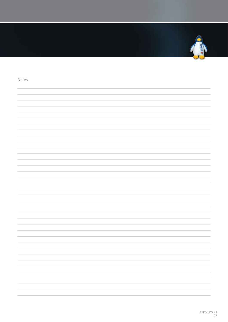

# Notes